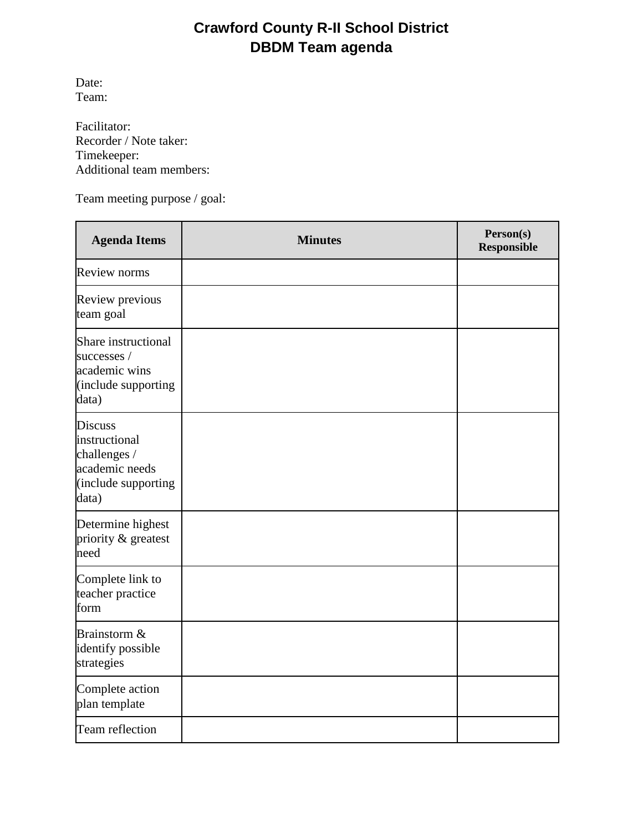# **Crawford County R-II School District DBDM Team agenda**

Date: Team:

Facilitator: Recorder / Note taker: Timekeeper: Additional team members:

Team meeting purpose / goal:

| <b>Agenda Items</b>                                                                               | <b>Minutes</b> | Person(s)<br><b>Responsible</b> |
|---------------------------------------------------------------------------------------------------|----------------|---------------------------------|
| <b>Review norms</b>                                                                               |                |                                 |
| Review previous<br>team goal                                                                      |                |                                 |
| Share instructional<br>successes /<br>academic wins<br>(include supporting<br>data)               |                |                                 |
| <b>Discuss</b><br>instructional<br>challenges /<br>academic needs<br>(include supporting<br>data) |                |                                 |
| Determine highest<br>priority & greatest<br>need                                                  |                |                                 |
| Complete link to<br>teacher practice<br>form                                                      |                |                                 |
| Brainstorm &<br>identify possible<br>strategies                                                   |                |                                 |
| Complete action<br>plan template                                                                  |                |                                 |
| Team reflection                                                                                   |                |                                 |